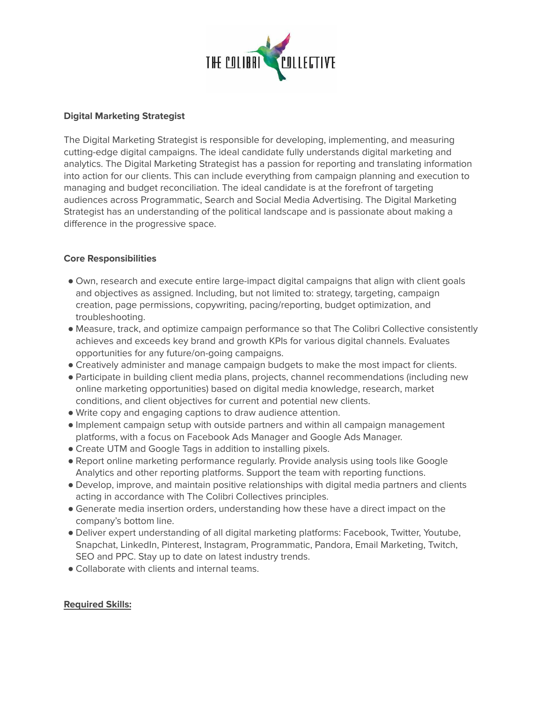

## **Digital Marketing Strategist**

The Digital Marketing Strategist is responsible for developing, implementing, and measuring cutting-edge digital campaigns. The ideal candidate fully understands digital marketing and analytics. The Digital Marketing Strategist has a passion for reporting and translating information into action for our clients. This can include everything from campaign planning and execution to managing and budget reconciliation. The ideal candidate is at the forefront of targeting audiences across Programmatic, Search and Social Media Advertising. The Digital Marketing Strategist has an understanding of the political landscape and is passionate about making a difference in the progressive space.

## **Core Responsibilities**

- Own, research and execute entire large-impact digital campaigns that align with client goals and objectives as assigned. Including, but not limited to: strategy, targeting, campaign creation, page permissions, copywriting, pacing/reporting, budget optimization, and troubleshooting.
- Measure, track, and optimize campaign performance so that The Colibri Collective consistently achieves and exceeds key brand and growth KPIs for various digital channels. Evaluates opportunities for any future/on-going campaigns.
- Creatively administer and manage campaign budgets to make the most impact for clients.
- Participate in building client media plans, projects, channel recommendations (including new online marketing opportunities) based on digital media knowledge, research, market conditions, and client objectives for current and potential new clients.
- Write copy and engaging captions to draw audience attention.
- Implement campaign setup with outside partners and within all campaign management platforms, with a focus on Facebook Ads Manager and Google Ads Manager.
- Create UTM and Google Tags in addition to installing pixels.
- Report online marketing performance regularly. Provide analysis using tools like Google Analytics and other reporting platforms. Support the team with reporting functions.
- Develop, improve, and maintain positive relationships with digital media partners and clients acting in accordance with The Colibri Collectives principles.
- Generate media insertion orders, understanding how these have a direct impact on the company's bottom line.
- Deliver expert understanding of all digital marketing platforms: Facebook, Twitter, Youtube, Snapchat, LinkedIn, Pinterest, Instagram, Programmatic, Pandora, Email Marketing, Twitch, SEO and PPC. Stay up to date on latest industry trends.
- Collaborate with clients and internal teams.

# **Required Skills:**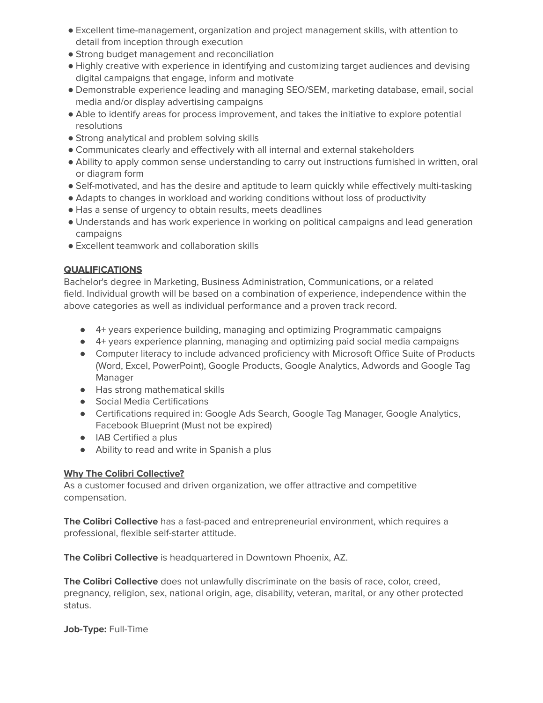- Excellent time-management, organization and project management skills, with attention to detail from inception through execution
- Strong budget management and reconciliation
- Highly creative with experience in identifying and customizing target audiences and devising digital campaigns that engage, inform and motivate
- Demonstrable experience leading and managing SEO/SEM, marketing database, email, social media and/or display advertising campaigns
- Able to identify areas for process improvement, and takes the initiative to explore potential resolutions
- Strong analytical and problem solving skills
- Communicates clearly and effectively with all internal and external stakeholders
- Ability to apply common sense understanding to carry out instructions furnished in written, oral or diagram form
- Self-motivated, and has the desire and aptitude to learn quickly while effectively multi-tasking
- Adapts to changes in workload and working conditions without loss of productivity
- Has a sense of urgency to obtain results, meets deadlines
- Understands and has work experience in working on political campaigns and lead generation campaigns
- Excellent teamwork and collaboration skills

# **QUALIFICATIONS**

Bachelor's degree in Marketing, Business Administration, Communications, or a related field. Individual growth will be based on a combination of experience, independence within the above categories as well as individual performance and a proven track record.

- 4+ years experience building, managing and optimizing Programmatic campaigns
- 4+ years experience planning, managing and optimizing paid social media campaigns
- Computer literacy to include advanced proficiency with Microsoft Office Suite of Products (Word, Excel, PowerPoint), Google Products, Google Analytics, Adwords and Google Tag Manager
- Has strong mathematical skills
- Social Media Certifications
- Certifications required in: Google Ads Search, Google Tag Manager, Google Analytics, Facebook Blueprint (Must not be expired)
- IAB Certified a plus
- Ability to read and write in Spanish a plus

# **Why The Colibri Collective?**

As a customer focused and driven organization, we offer attractive and competitive compensation.

**The Colibri Collective** has a fast-paced and entrepreneurial environment, which requires a professional, flexible self-starter attitude.

**The Colibri Collective** is headquartered in Downtown Phoenix, AZ.

**The Colibri Collective** does not unlawfully discriminate on the basis of race, color, creed, pregnancy, religion, sex, national origin, age, disability, veteran, marital, or any other protected status.

**Job-Type:** Full-Time